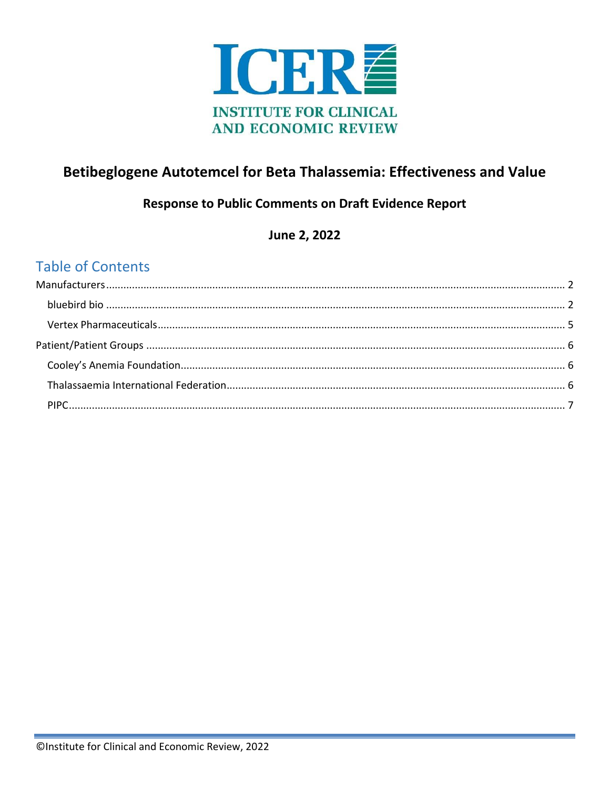

## Betibeglogene Autotemcel for Beta Thalassemia: Effectiveness and Value

## **Response to Public Comments on Draft Evidence Report**

June 2, 2022

## **Table of Contents**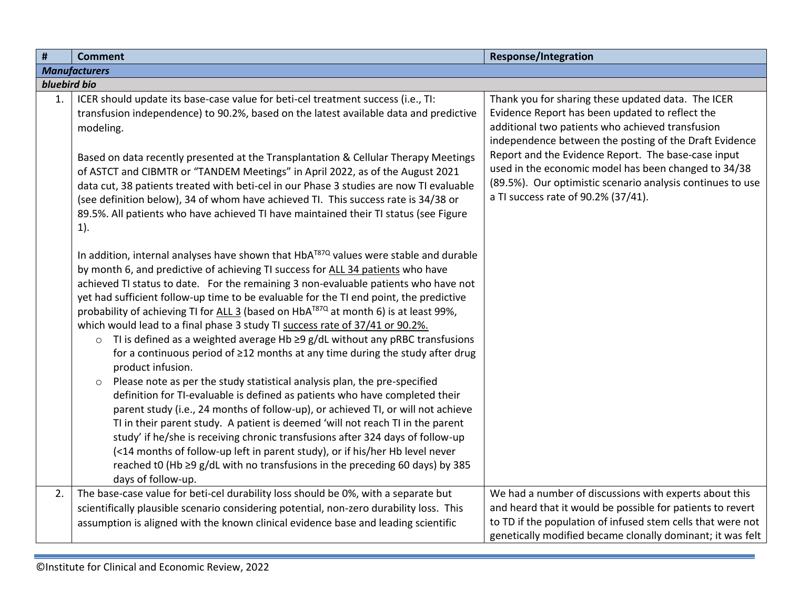<span id="page-1-1"></span><span id="page-1-0"></span>

| $\pmb{\sharp}$ | <b>Comment</b>                                                                                                                                                                                                                                                                                                                                                                                                                                                                                                                                                                                                                                                                                                                                                                                                                                                                                                                                                                                                                                                                                                                                                                                                                                                                                                                                                                        | <b>Response/Integration</b>                                                                                                                                                                                                                                                                                                                                                                                                             |
|----------------|---------------------------------------------------------------------------------------------------------------------------------------------------------------------------------------------------------------------------------------------------------------------------------------------------------------------------------------------------------------------------------------------------------------------------------------------------------------------------------------------------------------------------------------------------------------------------------------------------------------------------------------------------------------------------------------------------------------------------------------------------------------------------------------------------------------------------------------------------------------------------------------------------------------------------------------------------------------------------------------------------------------------------------------------------------------------------------------------------------------------------------------------------------------------------------------------------------------------------------------------------------------------------------------------------------------------------------------------------------------------------------------|-----------------------------------------------------------------------------------------------------------------------------------------------------------------------------------------------------------------------------------------------------------------------------------------------------------------------------------------------------------------------------------------------------------------------------------------|
|                | <b>Manufacturers</b>                                                                                                                                                                                                                                                                                                                                                                                                                                                                                                                                                                                                                                                                                                                                                                                                                                                                                                                                                                                                                                                                                                                                                                                                                                                                                                                                                                  |                                                                                                                                                                                                                                                                                                                                                                                                                                         |
| bluebird bio   |                                                                                                                                                                                                                                                                                                                                                                                                                                                                                                                                                                                                                                                                                                                                                                                                                                                                                                                                                                                                                                                                                                                                                                                                                                                                                                                                                                                       |                                                                                                                                                                                                                                                                                                                                                                                                                                         |
| 1.             | ICER should update its base-case value for beti-cel treatment success (i.e., TI:<br>transfusion independence) to 90.2%, based on the latest available data and predictive<br>modeling.<br>Based on data recently presented at the Transplantation & Cellular Therapy Meetings<br>of ASTCT and CIBMTR or "TANDEM Meetings" in April 2022, as of the August 2021<br>data cut, 38 patients treated with beti-cel in our Phase 3 studies are now TI evaluable<br>(see definition below), 34 of whom have achieved TI. This success rate is 34/38 or<br>89.5%. All patients who have achieved TI have maintained their TI status (see Figure<br>$1$ ).                                                                                                                                                                                                                                                                                                                                                                                                                                                                                                                                                                                                                                                                                                                                     | Thank you for sharing these updated data. The ICER<br>Evidence Report has been updated to reflect the<br>additional two patients who achieved transfusion<br>independence between the posting of the Draft Evidence<br>Report and the Evidence Report. The base-case input<br>used in the economic model has been changed to 34/38<br>(89.5%). Our optimistic scenario analysis continues to use<br>a TI success rate of 90.2% (37/41). |
|                | In addition, internal analyses have shown that HbA <sup>T87Q</sup> values were stable and durable<br>by month 6, and predictive of achieving TI success for ALL 34 patients who have<br>achieved TI status to date. For the remaining 3 non-evaluable patients who have not<br>yet had sufficient follow-up time to be evaluable for the TI end point, the predictive<br>probability of achieving TI for ALL 3 (based on HbA <sup>T87Q</sup> at month 6) is at least 99%,<br>which would lead to a final phase 3 study TI success rate of 37/41 or 90.2%.<br>TI is defined as a weighted average Hb $\geq$ 9 g/dL without any pRBC transfusions<br>$\circ$<br>for a continuous period of ≥12 months at any time during the study after drug<br>product infusion.<br>Please note as per the study statistical analysis plan, the pre-specified<br>$\circ$<br>definition for TI-evaluable is defined as patients who have completed their<br>parent study (i.e., 24 months of follow-up), or achieved TI, or will not achieve<br>TI in their parent study. A patient is deemed 'will not reach TI in the parent<br>study' if he/she is receiving chronic transfusions after 324 days of follow-up<br>(<14 months of follow-up left in parent study), or if his/her Hb level never<br>reached t0 (Hb ≥9 g/dL with no transfusions in the preceding 60 days) by 385<br>days of follow-up. |                                                                                                                                                                                                                                                                                                                                                                                                                                         |
| 2.             | The base-case value for beti-cel durability loss should be 0%, with a separate but<br>scientifically plausible scenario considering potential, non-zero durability loss. This<br>assumption is aligned with the known clinical evidence base and leading scientific                                                                                                                                                                                                                                                                                                                                                                                                                                                                                                                                                                                                                                                                                                                                                                                                                                                                                                                                                                                                                                                                                                                   | We had a number of discussions with experts about this<br>and heard that it would be possible for patients to revert<br>to TD if the population of infused stem cells that were not<br>genetically modified became clonally dominant; it was felt                                                                                                                                                                                       |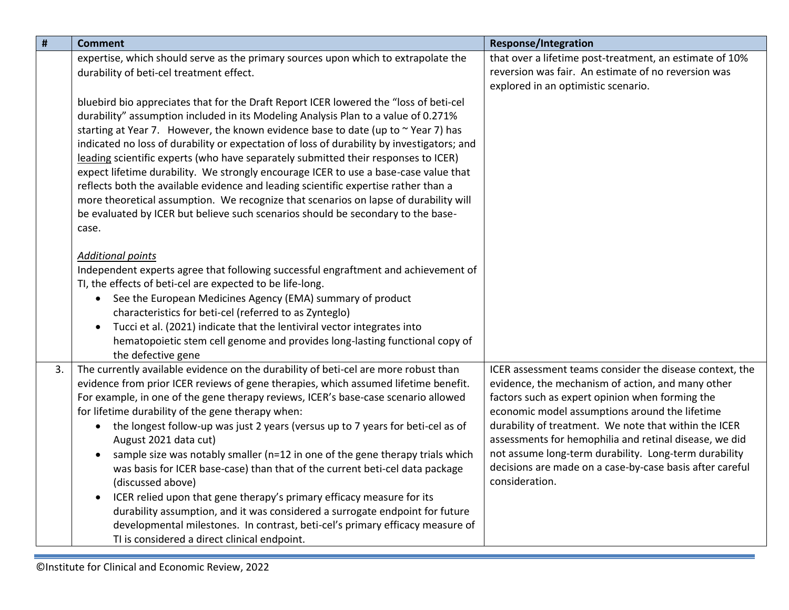| $\pmb{\sharp}$ | <b>Comment</b>                                                                                                                                                                                                                                                                                                                                                                                                                                                                                                                                                                                                                                                                                                                                                                                                                                                                                                                                           | <b>Response/Integration</b>                                                                                                                                                                                                                                                                                                                                                                                                                                                 |
|----------------|----------------------------------------------------------------------------------------------------------------------------------------------------------------------------------------------------------------------------------------------------------------------------------------------------------------------------------------------------------------------------------------------------------------------------------------------------------------------------------------------------------------------------------------------------------------------------------------------------------------------------------------------------------------------------------------------------------------------------------------------------------------------------------------------------------------------------------------------------------------------------------------------------------------------------------------------------------|-----------------------------------------------------------------------------------------------------------------------------------------------------------------------------------------------------------------------------------------------------------------------------------------------------------------------------------------------------------------------------------------------------------------------------------------------------------------------------|
|                | expertise, which should serve as the primary sources upon which to extrapolate the<br>durability of beti-cel treatment effect.                                                                                                                                                                                                                                                                                                                                                                                                                                                                                                                                                                                                                                                                                                                                                                                                                           | that over a lifetime post-treatment, an estimate of 10%<br>reversion was fair. An estimate of no reversion was<br>explored in an optimistic scenario.                                                                                                                                                                                                                                                                                                                       |
|                | bluebird bio appreciates that for the Draft Report ICER lowered the "loss of beti-cel<br>durability" assumption included in its Modeling Analysis Plan to a value of 0.271%<br>starting at Year 7. However, the known evidence base to date (up to ~Year 7) has<br>indicated no loss of durability or expectation of loss of durability by investigators; and<br>leading scientific experts (who have separately submitted their responses to ICER)<br>expect lifetime durability. We strongly encourage ICER to use a base-case value that<br>reflects both the available evidence and leading scientific expertise rather than a<br>more theoretical assumption. We recognize that scenarios on lapse of durability will<br>be evaluated by ICER but believe such scenarios should be secondary to the base-<br>case.                                                                                                                                  |                                                                                                                                                                                                                                                                                                                                                                                                                                                                             |
|                | <b>Additional points</b><br>Independent experts agree that following successful engraftment and achievement of<br>TI, the effects of beti-cel are expected to be life-long.<br>See the European Medicines Agency (EMA) summary of product<br>$\bullet$<br>characteristics for beti-cel (referred to as Zynteglo)<br>Tucci et al. (2021) indicate that the lentiviral vector integrates into<br>$\bullet$<br>hematopoietic stem cell genome and provides long-lasting functional copy of<br>the defective gene                                                                                                                                                                                                                                                                                                                                                                                                                                            |                                                                                                                                                                                                                                                                                                                                                                                                                                                                             |
| 3.             | The currently available evidence on the durability of beti-cel are more robust than<br>evidence from prior ICER reviews of gene therapies, which assumed lifetime benefit.<br>For example, in one of the gene therapy reviews, ICER's base-case scenario allowed<br>for lifetime durability of the gene therapy when:<br>the longest follow-up was just 2 years (versus up to 7 years for beti-cel as of<br>$\bullet$<br>August 2021 data cut)<br>sample size was notably smaller (n=12 in one of the gene therapy trials which<br>$\bullet$<br>was basis for ICER base-case) than that of the current beti-cel data package<br>(discussed above)<br>ICER relied upon that gene therapy's primary efficacy measure for its<br>$\bullet$<br>durability assumption, and it was considered a surrogate endpoint for future<br>developmental milestones. In contrast, beti-cel's primary efficacy measure of<br>TI is considered a direct clinical endpoint. | ICER assessment teams consider the disease context, the<br>evidence, the mechanism of action, and many other<br>factors such as expert opinion when forming the<br>economic model assumptions around the lifetime<br>durability of treatment. We note that within the ICER<br>assessments for hemophilia and retinal disease, we did<br>not assume long-term durability. Long-term durability<br>decisions are made on a case-by-case basis after careful<br>consideration. |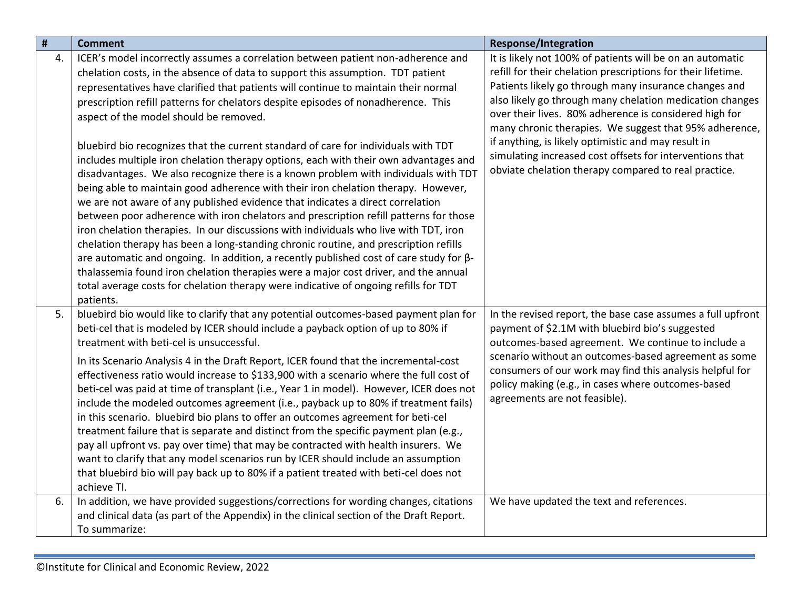| #  | <b>Comment</b>                                                                                                                                                                                                                                                                                                                                                                                                                                                                                                                                                                                                                                                                                                                                                                                                                                                                                                                                                                                                                                                                                                                                                                                                                                                                                                                                                                                               | <b>Response/Integration</b>                                                                                                                                                                                                                                                                                                                                                                                                                                                                                                                   |
|----|--------------------------------------------------------------------------------------------------------------------------------------------------------------------------------------------------------------------------------------------------------------------------------------------------------------------------------------------------------------------------------------------------------------------------------------------------------------------------------------------------------------------------------------------------------------------------------------------------------------------------------------------------------------------------------------------------------------------------------------------------------------------------------------------------------------------------------------------------------------------------------------------------------------------------------------------------------------------------------------------------------------------------------------------------------------------------------------------------------------------------------------------------------------------------------------------------------------------------------------------------------------------------------------------------------------------------------------------------------------------------------------------------------------|-----------------------------------------------------------------------------------------------------------------------------------------------------------------------------------------------------------------------------------------------------------------------------------------------------------------------------------------------------------------------------------------------------------------------------------------------------------------------------------------------------------------------------------------------|
| 4. | ICER's model incorrectly assumes a correlation between patient non-adherence and<br>chelation costs, in the absence of data to support this assumption. TDT patient<br>representatives have clarified that patients will continue to maintain their normal<br>prescription refill patterns for chelators despite episodes of nonadherence. This<br>aspect of the model should be removed.<br>bluebird bio recognizes that the current standard of care for individuals with TDT<br>includes multiple iron chelation therapy options, each with their own advantages and<br>disadvantages. We also recognize there is a known problem with individuals with TDT<br>being able to maintain good adherence with their iron chelation therapy. However,<br>we are not aware of any published evidence that indicates a direct correlation<br>between poor adherence with iron chelators and prescription refill patterns for those<br>iron chelation therapies. In our discussions with individuals who live with TDT, iron<br>chelation therapy has been a long-standing chronic routine, and prescription refills<br>are automatic and ongoing. In addition, a recently published cost of care study for $\beta$ -<br>thalassemia found iron chelation therapies were a major cost driver, and the annual<br>total average costs for chelation therapy were indicative of ongoing refills for TDT<br>patients. | It is likely not 100% of patients will be on an automatic<br>refill for their chelation prescriptions for their lifetime.<br>Patients likely go through many insurance changes and<br>also likely go through many chelation medication changes<br>over their lives. 80% adherence is considered high for<br>many chronic therapies. We suggest that 95% adherence,<br>if anything, is likely optimistic and may result in<br>simulating increased cost offsets for interventions that<br>obviate chelation therapy compared to real practice. |
| 5. | bluebird bio would like to clarify that any potential outcomes-based payment plan for<br>beti-cel that is modeled by ICER should include a payback option of up to 80% if<br>treatment with beti-cel is unsuccessful.<br>In its Scenario Analysis 4 in the Draft Report, ICER found that the incremental-cost<br>effectiveness ratio would increase to \$133,900 with a scenario where the full cost of<br>beti-cel was paid at time of transplant (i.e., Year 1 in model). However, ICER does not<br>include the modeled outcomes agreement (i.e., payback up to 80% if treatment fails)<br>in this scenario. bluebird bio plans to offer an outcomes agreement for beti-cel<br>treatment failure that is separate and distinct from the specific payment plan (e.g.,<br>pay all upfront vs. pay over time) that may be contracted with health insurers. We<br>want to clarify that any model scenarios run by ICER should include an assumption<br>that bluebird bio will pay back up to 80% if a patient treated with beti-cel does not<br>achieve TI.                                                                                                                                                                                                                                                                                                                                                    | In the revised report, the base case assumes a full upfront<br>payment of \$2.1M with bluebird bio's suggested<br>outcomes-based agreement. We continue to include a<br>scenario without an outcomes-based agreement as some<br>consumers of our work may find this analysis helpful for<br>policy making (e.g., in cases where outcomes-based<br>agreements are not feasible).                                                                                                                                                               |
| 6. | In addition, we have provided suggestions/corrections for wording changes, citations<br>and clinical data (as part of the Appendix) in the clinical section of the Draft Report.<br>To summarize:                                                                                                                                                                                                                                                                                                                                                                                                                                                                                                                                                                                                                                                                                                                                                                                                                                                                                                                                                                                                                                                                                                                                                                                                            | We have updated the text and references.                                                                                                                                                                                                                                                                                                                                                                                                                                                                                                      |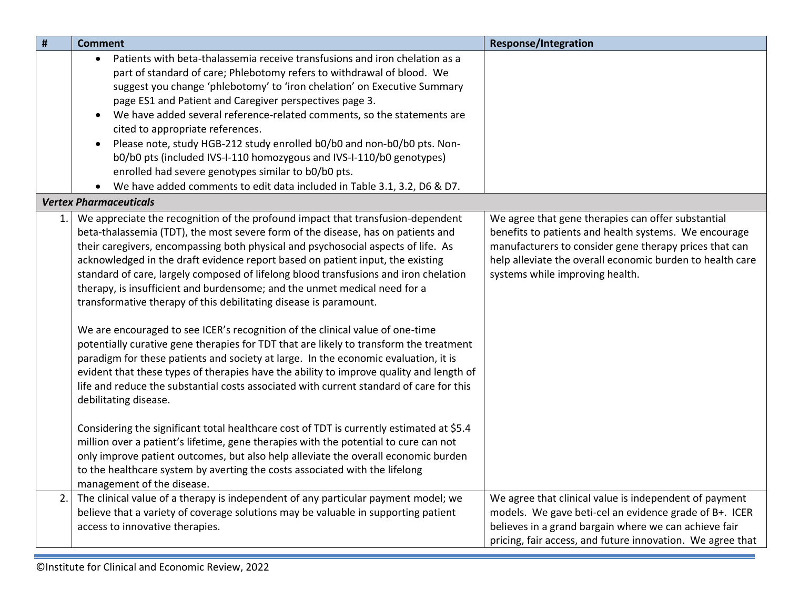<span id="page-4-0"></span>

| $\pmb{\sharp}$ | <b>Comment</b>                                                                                                                                                                                                                                                                                                                                                                                                                                                                                                                                                                                                                                                                                                                                                                                                                                                                                                                                                                                                                                                        | <b>Response/Integration</b>                                                                                                                                                                                                                                           |
|----------------|-----------------------------------------------------------------------------------------------------------------------------------------------------------------------------------------------------------------------------------------------------------------------------------------------------------------------------------------------------------------------------------------------------------------------------------------------------------------------------------------------------------------------------------------------------------------------------------------------------------------------------------------------------------------------------------------------------------------------------------------------------------------------------------------------------------------------------------------------------------------------------------------------------------------------------------------------------------------------------------------------------------------------------------------------------------------------|-----------------------------------------------------------------------------------------------------------------------------------------------------------------------------------------------------------------------------------------------------------------------|
|                | Patients with beta-thalassemia receive transfusions and iron chelation as a<br>$\bullet$<br>part of standard of care; Phlebotomy refers to withdrawal of blood. We<br>suggest you change 'phlebotomy' to 'iron chelation' on Executive Summary<br>page ES1 and Patient and Caregiver perspectives page 3.<br>We have added several reference-related comments, so the statements are<br>cited to appropriate references.<br>Please note, study HGB-212 study enrolled b0/b0 and non-b0/b0 pts. Non-<br>b0/b0 pts (included IVS-I-110 homozygous and IVS-I-110/b0 genotypes)<br>enrolled had severe genotypes similar to b0/b0 pts.<br>We have added comments to edit data included in Table 3.1, 3.2, D6 & D7.                                                                                                                                                                                                                                                                                                                                                        |                                                                                                                                                                                                                                                                       |
|                | <b>Vertex Pharmaceuticals</b>                                                                                                                                                                                                                                                                                                                                                                                                                                                                                                                                                                                                                                                                                                                                                                                                                                                                                                                                                                                                                                         |                                                                                                                                                                                                                                                                       |
| 1.1            | We appreciate the recognition of the profound impact that transfusion-dependent<br>beta-thalassemia (TDT), the most severe form of the disease, has on patients and<br>their caregivers, encompassing both physical and psychosocial aspects of life. As<br>acknowledged in the draft evidence report based on patient input, the existing<br>standard of care, largely composed of lifelong blood transfusions and iron chelation<br>therapy, is insufficient and burdensome; and the unmet medical need for a<br>transformative therapy of this debilitating disease is paramount.<br>We are encouraged to see ICER's recognition of the clinical value of one-time<br>potentially curative gene therapies for TDT that are likely to transform the treatment<br>paradigm for these patients and society at large. In the economic evaluation, it is<br>evident that these types of therapies have the ability to improve quality and length of<br>life and reduce the substantial costs associated with current standard of care for this<br>debilitating disease. | We agree that gene therapies can offer substantial<br>benefits to patients and health systems. We encourage<br>manufacturers to consider gene therapy prices that can<br>help alleviate the overall economic burden to health care<br>systems while improving health. |
|                | Considering the significant total healthcare cost of TDT is currently estimated at \$5.4<br>million over a patient's lifetime, gene therapies with the potential to cure can not<br>only improve patient outcomes, but also help alleviate the overall economic burden<br>to the healthcare system by averting the costs associated with the lifelong<br>management of the disease.                                                                                                                                                                                                                                                                                                                                                                                                                                                                                                                                                                                                                                                                                   |                                                                                                                                                                                                                                                                       |
| 2.             | The clinical value of a therapy is independent of any particular payment model; we<br>believe that a variety of coverage solutions may be valuable in supporting patient<br>access to innovative therapies.                                                                                                                                                                                                                                                                                                                                                                                                                                                                                                                                                                                                                                                                                                                                                                                                                                                           | We agree that clinical value is independent of payment<br>models. We gave beti-cel an evidence grade of B+. ICER<br>believes in a grand bargain where we can achieve fair<br>pricing, fair access, and future innovation. We agree that                               |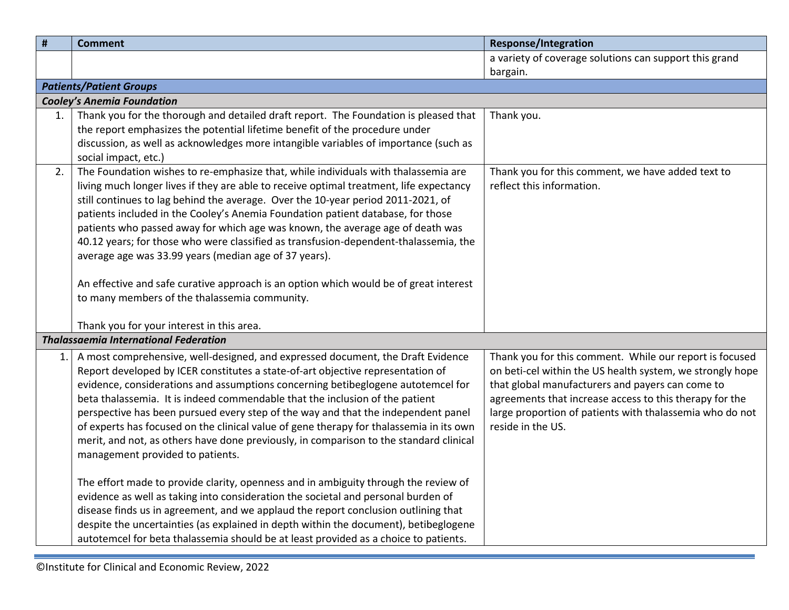<span id="page-5-2"></span><span id="page-5-1"></span><span id="page-5-0"></span>

| #   | <b>Comment</b>                                                                          | <b>Response/Integration</b>                               |
|-----|-----------------------------------------------------------------------------------------|-----------------------------------------------------------|
|     |                                                                                         | a variety of coverage solutions can support this grand    |
|     |                                                                                         | bargain.                                                  |
|     | <b>Patients/Patient Groups</b>                                                          |                                                           |
|     | <b>Cooley's Anemia Foundation</b>                                                       |                                                           |
| 1.  | Thank you for the thorough and detailed draft report. The Foundation is pleased that    | Thank you.                                                |
|     | the report emphasizes the potential lifetime benefit of the procedure under             |                                                           |
|     | discussion, as well as acknowledges more intangible variables of importance (such as    |                                                           |
|     | social impact, etc.)                                                                    |                                                           |
| 2.  | The Foundation wishes to re-emphasize that, while individuals with thalassemia are      | Thank you for this comment, we have added text to         |
|     | living much longer lives if they are able to receive optimal treatment, life expectancy | reflect this information.                                 |
|     | still continues to lag behind the average. Over the 10-year period 2011-2021, of        |                                                           |
|     | patients included in the Cooley's Anemia Foundation patient database, for those         |                                                           |
|     | patients who passed away for which age was known, the average age of death was          |                                                           |
|     | 40.12 years; for those who were classified as transfusion-dependent-thalassemia, the    |                                                           |
|     | average age was 33.99 years (median age of 37 years).                                   |                                                           |
|     | An effective and safe curative approach is an option which would be of great interest   |                                                           |
|     | to many members of the thalassemia community.                                           |                                                           |
|     |                                                                                         |                                                           |
|     | Thank you for your interest in this area.                                               |                                                           |
|     | <b>Thalassaemia International Federation</b>                                            |                                                           |
| 1.1 | A most comprehensive, well-designed, and expressed document, the Draft Evidence         | Thank you for this comment. While our report is focused   |
|     | Report developed by ICER constitutes a state-of-art objective representation of         | on beti-cel within the US health system, we strongly hope |
|     | evidence, considerations and assumptions concerning betibeglogene autotemcel for        | that global manufacturers and payers can come to          |
|     | beta thalassemia. It is indeed commendable that the inclusion of the patient            | agreements that increase access to this therapy for the   |
|     | perspective has been pursued every step of the way and that the independent panel       | large proportion of patients with thalassemia who do not  |
|     | of experts has focused on the clinical value of gene therapy for thalassemia in its own | reside in the US.                                         |
|     | merit, and not, as others have done previously, in comparison to the standard clinical  |                                                           |
|     | management provided to patients.                                                        |                                                           |
|     |                                                                                         |                                                           |
|     | The effort made to provide clarity, openness and in ambiguity through the review of     |                                                           |
|     | evidence as well as taking into consideration the societal and personal burden of       |                                                           |
|     | disease finds us in agreement, and we applaud the report conclusion outlining that      |                                                           |
|     | despite the uncertainties (as explained in depth within the document), betibeglogene    |                                                           |
|     | autotemcel for beta thalassemia should be at least provided as a choice to patients.    |                                                           |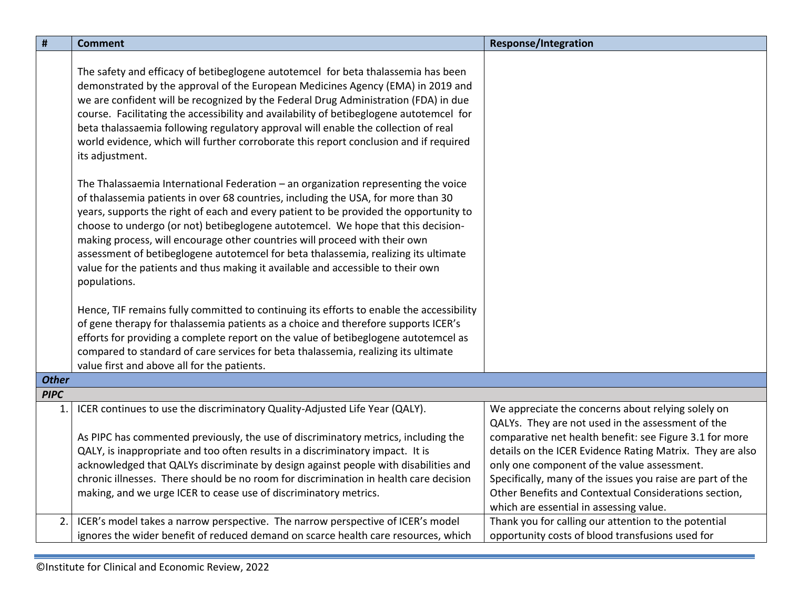<span id="page-6-0"></span>

| $\pmb{\sharp}$ | <b>Comment</b>                                                                                                                                                                                                                                                                                                                                                                                                                                                                                                                                                                                                                 | <b>Response/Integration</b>                                                                                         |
|----------------|--------------------------------------------------------------------------------------------------------------------------------------------------------------------------------------------------------------------------------------------------------------------------------------------------------------------------------------------------------------------------------------------------------------------------------------------------------------------------------------------------------------------------------------------------------------------------------------------------------------------------------|---------------------------------------------------------------------------------------------------------------------|
|                | The safety and efficacy of betibeglogene autotemcel for beta thalassemia has been<br>demonstrated by the approval of the European Medicines Agency (EMA) in 2019 and<br>we are confident will be recognized by the Federal Drug Administration (FDA) in due<br>course. Facilitating the accessibility and availability of betibeglogene autotemcel for<br>beta thalassaemia following regulatory approval will enable the collection of real<br>world evidence, which will further corroborate this report conclusion and if required<br>its adjustment.                                                                       |                                                                                                                     |
|                | The Thalassaemia International Federation $-$ an organization representing the voice<br>of thalassemia patients in over 68 countries, including the USA, for more than 30<br>years, supports the right of each and every patient to be provided the opportunity to<br>choose to undergo (or not) betibeglogene autotemcel. We hope that this decision-<br>making process, will encourage other countries will proceed with their own<br>assessment of betibeglogene autotemcel for beta thalassemia, realizing its ultimate<br>value for the patients and thus making it available and accessible to their own<br>populations. |                                                                                                                     |
|                | Hence, TIF remains fully committed to continuing its efforts to enable the accessibility                                                                                                                                                                                                                                                                                                                                                                                                                                                                                                                                       |                                                                                                                     |
|                | of gene therapy for thalassemia patients as a choice and therefore supports ICER's                                                                                                                                                                                                                                                                                                                                                                                                                                                                                                                                             |                                                                                                                     |
|                | efforts for providing a complete report on the value of betibeglogene autotemcel as<br>compared to standard of care services for beta thalassemia, realizing its ultimate                                                                                                                                                                                                                                                                                                                                                                                                                                                      |                                                                                                                     |
|                | value first and above all for the patients.                                                                                                                                                                                                                                                                                                                                                                                                                                                                                                                                                                                    |                                                                                                                     |
| <b>Other</b>   |                                                                                                                                                                                                                                                                                                                                                                                                                                                                                                                                                                                                                                |                                                                                                                     |
| <b>PIPC</b>    |                                                                                                                                                                                                                                                                                                                                                                                                                                                                                                                                                                                                                                |                                                                                                                     |
| 1.             | ICER continues to use the discriminatory Quality-Adjusted Life Year (QALY).                                                                                                                                                                                                                                                                                                                                                                                                                                                                                                                                                    | We appreciate the concerns about relying solely on<br>QALYs. They are not used in the assessment of the             |
|                | As PIPC has commented previously, the use of discriminatory metrics, including the                                                                                                                                                                                                                                                                                                                                                                                                                                                                                                                                             | comparative net health benefit: see Figure 3.1 for more                                                             |
|                | QALY, is inappropriate and too often results in a discriminatory impact. It is                                                                                                                                                                                                                                                                                                                                                                                                                                                                                                                                                 | details on the ICER Evidence Rating Matrix. They are also                                                           |
|                | acknowledged that QALYs discriminate by design against people with disabilities and                                                                                                                                                                                                                                                                                                                                                                                                                                                                                                                                            | only one component of the value assessment.                                                                         |
|                | chronic illnesses. There should be no room for discrimination in health care decision<br>making, and we urge ICER to cease use of discriminatory metrics.                                                                                                                                                                                                                                                                                                                                                                                                                                                                      | Specifically, many of the issues you raise are part of the<br>Other Benefits and Contextual Considerations section, |
|                |                                                                                                                                                                                                                                                                                                                                                                                                                                                                                                                                                                                                                                | which are essential in assessing value.                                                                             |
| 2.             | ICER's model takes a narrow perspective. The narrow perspective of ICER's model                                                                                                                                                                                                                                                                                                                                                                                                                                                                                                                                                | Thank you for calling our attention to the potential                                                                |
|                | ignores the wider benefit of reduced demand on scarce health care resources, which                                                                                                                                                                                                                                                                                                                                                                                                                                                                                                                                             | opportunity costs of blood transfusions used for                                                                    |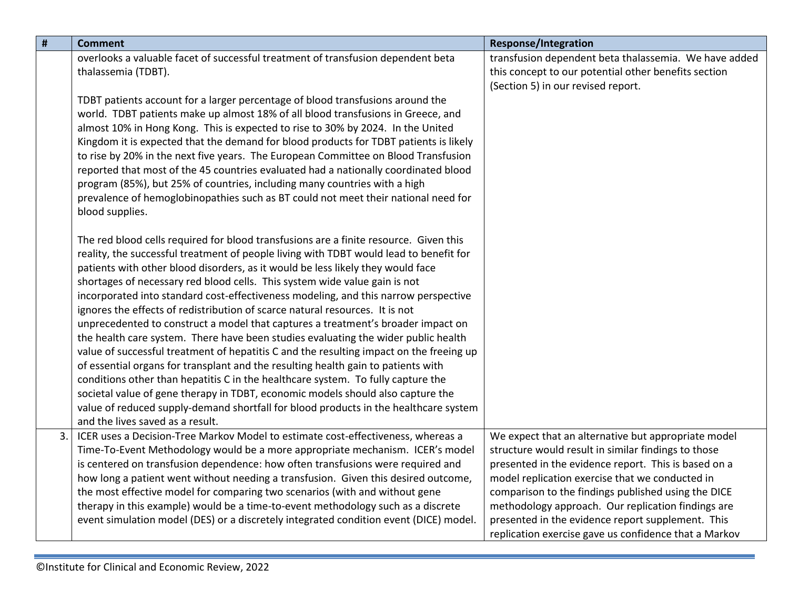| #  | <b>Comment</b>                                                                                                                                                            | <b>Response/Integration</b>                                                                             |
|----|---------------------------------------------------------------------------------------------------------------------------------------------------------------------------|---------------------------------------------------------------------------------------------------------|
|    | overlooks a valuable facet of successful treatment of transfusion dependent beta                                                                                          | transfusion dependent beta thalassemia. We have added                                                   |
|    | thalassemia (TDBT).                                                                                                                                                       | this concept to our potential other benefits section                                                    |
|    | TDBT patients account for a larger percentage of blood transfusions around the                                                                                            | (Section 5) in our revised report.                                                                      |
|    | world. TDBT patients make up almost 18% of all blood transfusions in Greece, and                                                                                          |                                                                                                         |
|    | almost 10% in Hong Kong. This is expected to rise to 30% by 2024. In the United                                                                                           |                                                                                                         |
|    | Kingdom it is expected that the demand for blood products for TDBT patients is likely                                                                                     |                                                                                                         |
|    | to rise by 20% in the next five years. The European Committee on Blood Transfusion                                                                                        |                                                                                                         |
|    | reported that most of the 45 countries evaluated had a nationally coordinated blood                                                                                       |                                                                                                         |
|    | program (85%), but 25% of countries, including many countries with a high                                                                                                 |                                                                                                         |
|    | prevalence of hemoglobinopathies such as BT could not meet their national need for                                                                                        |                                                                                                         |
|    | blood supplies.                                                                                                                                                           |                                                                                                         |
|    | The red blood cells required for blood transfusions are a finite resource. Given this                                                                                     |                                                                                                         |
|    | reality, the successful treatment of people living with TDBT would lead to benefit for                                                                                    |                                                                                                         |
|    | patients with other blood disorders, as it would be less likely they would face                                                                                           |                                                                                                         |
|    | shortages of necessary red blood cells. This system wide value gain is not                                                                                                |                                                                                                         |
|    | incorporated into standard cost-effectiveness modeling, and this narrow perspective                                                                                       |                                                                                                         |
|    | ignores the effects of redistribution of scarce natural resources. It is not                                                                                              |                                                                                                         |
|    | unprecedented to construct a model that captures a treatment's broader impact on                                                                                          |                                                                                                         |
|    | the health care system. There have been studies evaluating the wider public health                                                                                        |                                                                                                         |
|    | value of successful treatment of hepatitis C and the resulting impact on the freeing up                                                                                   |                                                                                                         |
|    | of essential organs for transplant and the resulting health gain to patients with<br>conditions other than hepatitis C in the healthcare system. To fully capture the     |                                                                                                         |
|    | societal value of gene therapy in TDBT, economic models should also capture the                                                                                           |                                                                                                         |
|    | value of reduced supply-demand shortfall for blood products in the healthcare system                                                                                      |                                                                                                         |
|    | and the lives saved as a result.                                                                                                                                          |                                                                                                         |
| 3. | ICER uses a Decision-Tree Markov Model to estimate cost-effectiveness, whereas a                                                                                          | We expect that an alternative but appropriate model                                                     |
|    | Time-To-Event Methodology would be a more appropriate mechanism. ICER's model                                                                                             | structure would result in similar findings to those                                                     |
|    | is centered on transfusion dependence: how often transfusions were required and                                                                                           | presented in the evidence report. This is based on a                                                    |
|    | how long a patient went without needing a transfusion. Given this desired outcome,                                                                                        | model replication exercise that we conducted in                                                         |
|    | the most effective model for comparing two scenarios (with and without gene                                                                                               | comparison to the findings published using the DICE                                                     |
|    | therapy in this example) would be a time-to-event methodology such as a discrete<br>event simulation model (DES) or a discretely integrated condition event (DICE) model. | methodology approach. Our replication findings are<br>presented in the evidence report supplement. This |
|    |                                                                                                                                                                           | replication exercise gave us confidence that a Markov                                                   |
|    |                                                                                                                                                                           |                                                                                                         |